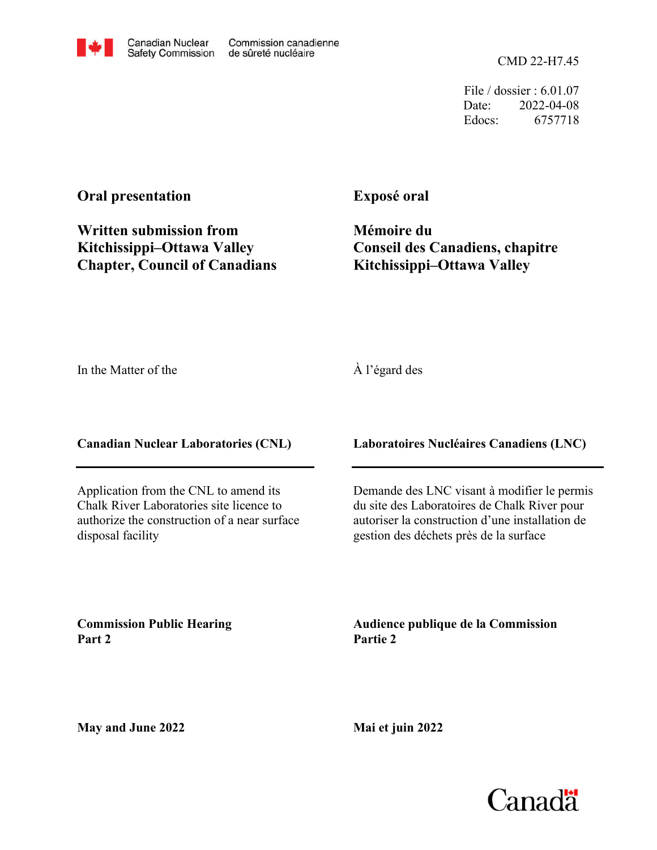

CMD 22-H7.45

File / dossier : 6.01.07 Date: 2022-04-08 Edocs: 6757718

## **Oral presentation**

**Written submission from Kitchissippi–Ottawa Valley Chapter, Council of Canadians**

### **Exposé oral**

**Mémoire du Conseil des Canadiens, chapitre Kitchissippi–Ottawa Valley**

In the Matter of the

#### À l'égard des

**Canadian Nuclear Laboratories (CNL)**

Application from the CNL to amend its Chalk River Laboratories site licence to authorize the construction of a near surface disposal facility

**Laboratoires Nucléaires Canadiens (LNC)**

Demande des LNC visant à modifier le permis du site des Laboratoires de Chalk River pour autoriser la construction d'une installation de gestion des déchets près de la surface

**Commission Public Hearing Part 2**

**Audience publique de la Commission Partie 2**

**May and June 2022**

**Mai et juin 2022**

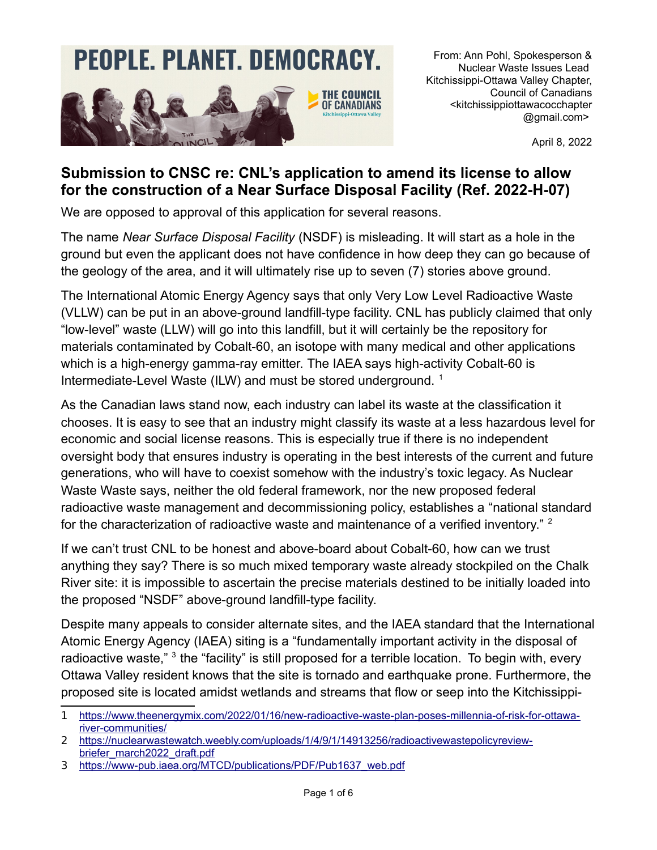# **PEOPLE. PLANET. DEMOCRACY.**



From: Ann Pohl, Spokesperson & Nuclear Waste Issues Lead Kitchissippi-Ottawa Valley Chapter, Council of Canadians <kitchissippiottawacocchapter @gmail.com>

April 8, 2022

# **Submission to CNSC re: CNL's application to amend its license to allow for the construction of a Near Surface Disposal Facility (Ref. 2022-H-07)**

We are opposed to approval of this application for several reasons.

The name *Near Surface Disposal Facility* (NSDF) is misleading. It will start as a hole in the ground but even the applicant does not have confidence in how deep they can go because of the geology of the area, and it will ultimately rise up to seven (7) stories above ground.

The International Atomic Energy Agency says that only Very Low Level Radioactive Waste (VLLW) can be put in an above-ground landfill-type facility. CNL has publicly claimed that only "low-level" waste (LLW) will go into this landfill, but it will certainly be the repository for materials contaminated by Cobalt-60, an isotope with many medical and other applications which is a high-energy gamma-ray emitter. The IAEA says high-activity Cobalt-60 is Intermediate-Level Waste (ILW) and must be stored underground.<sup>[1](#page-1-0)</sup>

As the Canadian laws stand now, each industry can label its waste at the classification it chooses. It is easy to see that an industry might classify its waste at a less hazardous level for economic and social license reasons. This is especially true if there is no independent oversight body that ensures industry is operating in the best interests of the current and future generations, who will have to coexist somehow with the industry's toxic legacy. As Nuclear Waste Waste says, neither the old federal framework, nor the new proposed federal radioactive waste management and decommissioning policy, establishes a "national standard for the characterization of radioactive waste and maintenance of a verified inventory." <sup>[2](#page-1-1)</sup>

If we can't trust CNL to be honest and above-board about Cobalt-60, how can we trust anything they say? There is so much mixed temporary waste already stockpiled on the Chalk River site: it is impossible to ascertain the precise materials destined to be initially loaded into the proposed "NSDF" above-ground landfill-type facility.

Despite many appeals to consider alternate sites, and the IAEA standard that the International Atomic Energy Agency (IAEA) siting is a "fundamentally important activity in the disposal of radioactive waste," <sup>3</sup> the "facility" is still proposed for a terrible location. To begin with, every Ottawa Valley resident knows that the site is tornado and earthquake prone. Furthermore, the proposed site is located amidst wetlands and streams that flow or seep into the Kitchissippi-

<span id="page-1-0"></span><sup>1</sup> [https://www.theenergymix.com/2022/01/16/new-radioactive-waste-plan-poses-millennia-of-risk-for-ottawa](https://www.theenergymix.com/2022/01/16/new-radioactive-waste-plan-poses-millennia-of-risk-for-ottawa-river-communities/)[river-communities/](https://www.theenergymix.com/2022/01/16/new-radioactive-waste-plan-poses-millennia-of-risk-for-ottawa-river-communities/)

<span id="page-1-1"></span><sup>2</sup> [https://nuclearwastewatch.weebly.com/uploads/1/4/9/1/14913256/radioactivewastepolicyreview](https://nuclearwastewatch.weebly.com/uploads/1/4/9/1/14913256/radioactivewastepolicyreview-briefer_march2022_draft.pdf)[briefer\\_march2022\\_draft.pdf](https://nuclearwastewatch.weebly.com/uploads/1/4/9/1/14913256/radioactivewastepolicyreview-briefer_march2022_draft.pdf)

<span id="page-1-2"></span><sup>3</sup> [https://www-pub.iaea.org/MTCD/publications/PDF/Pub1637\\_web.pdf](https://www-pub.iaea.org/MTCD/publications/PDF/Pub1637_web.pdf)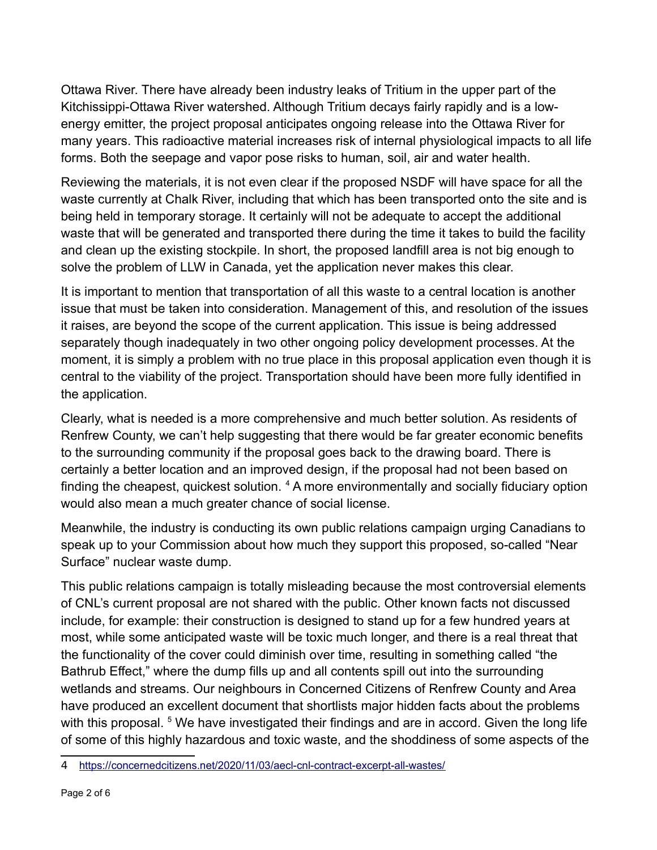Ottawa River. There have already been industry leaks of Tritium in the upper part of the Kitchissippi-Ottawa River watershed. Although Tritium decays fairly rapidly and is a lowenergy emitter, the project proposal anticipates ongoing release into the Ottawa River for many years. This radioactive material increases risk of internal physiological impacts to all life forms. Both the seepage and vapor pose risks to human, soil, air and water health.

Reviewing the materials, it is not even clear if the proposed NSDF will have space for all the waste currently at Chalk River, including that which has been transported onto the site and is being held in temporary storage. It certainly will not be adequate to accept the additional waste that will be generated and transported there during the time it takes to build the facility and clean up the existing stockpile. In short, the proposed landfill area is not big enough to solve the problem of LLW in Canada, yet the application never makes this clear.

It is important to mention that transportation of all this waste to a central location is another issue that must be taken into consideration. Management of this, and resolution of the issues it raises, are beyond the scope of the current application. This issue is being addressed separately though inadequately in two other ongoing policy development processes. At the moment, it is simply a problem with no true place in this proposal application even though it is central to the viability of the project. Transportation should have been more fully identified in the application.

Clearly, what is needed is a more comprehensive and much better solution. As residents of Renfrew County, we can't help suggesting that there would be far greater economic benefits to the surrounding community if the proposal goes back to the drawing board. There is certainly a better location and an improved design, if the proposal had not been based on finding the cheapest, quickest solution. <sup>[4](#page-2-0)</sup> A more environmentally and socially fiduciary option would also mean a much greater chance of social license.

Meanwhile, the industry is conducting its own public relations campaign urging Canadians to speak up to your Commission about how much they support this proposed, so-called "Near Surface" nuclear waste dump.

This public relations campaign is totally misleading because the most controversial elements of CNL's current proposal are not shared with the public. Other known facts not discussed include, for example: their construction is designed to stand up for a few hundred years at most, while some anticipated waste will be toxic much longer, and there is a real threat that the functionality of the cover could diminish over time, resulting in something called "the Bathrub Effect," where the dump fills up and all contents spill out into the surrounding wetlands and streams. Our neighbours in Concerned Citizens of Renfrew County and Area have produced an excellent document that shortlists major hidden facts about the problems with this proposal. <sup>5</sup> We have investigated their findings and are in accord. Given the long life of some of this highly hazardous and toxic waste, and the shoddiness of some aspects of the

<span id="page-2-0"></span><sup>4</sup> <https://concernedcitizens.net/2020/11/03/aecl-cnl-contract-excerpt-all-wastes/>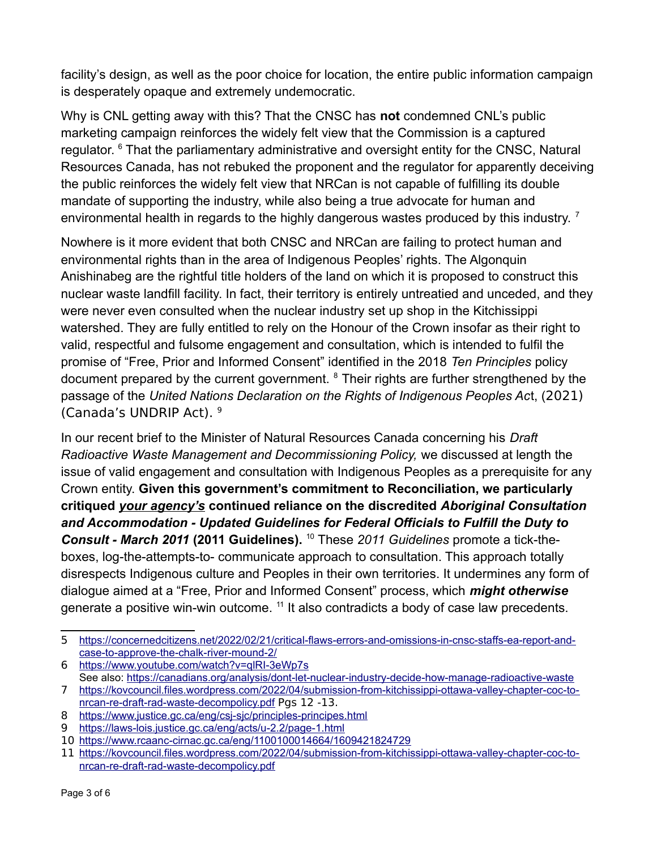facility's design, as well as the poor choice for location, the entire public information campaign is desperately opaque and extremely undemocratic.

Why is CNL getting away with this? That the CNSC has **not** condemned CNL's public marketing campaign reinforces the widely felt view that the Commission is a captured regulator. <sup>[6](#page-3-0)</sup> That the parliamentary administrative and oversight entity for the CNSC, Natural Resources Canada, has not rebuked the proponent and the regulator for apparently deceiving the public reinforces the widely felt view that NRCan is not capable of fulfilling its double mandate of supporting the industry, while also being a true advocate for human and environmental health in regards to the highly dangerous wastes produced by this industry.  $^7$  $^7$ 

Nowhere is it more evident that both CNSC and NRCan are failing to protect human and environmental rights than in the area of Indigenous Peoples' rights. The Algonquin Anishinabeg are the rightful title holders of the land on which it is proposed to construct this nuclear waste landfill facility. In fact, their territory is entirely untreatied and unceded, and they were never even consulted when the nuclear industry set up shop in the Kitchissippi watershed. They are fully entitled to rely on the Honour of the Crown insofar as their right to valid, respectful and fulsome engagement and consultation, which is intended to fulfil the promise of "Free, Prior and Informed Consent" identified in the 2018 *Ten Principles* policy document prepared by the current government. <sup>8</sup> Their rights are further strengthened by the passage of the *United Nations Declaration on the Rights of Indigenous Peoples Ac*t, (2021) (Canada's UNDRIP Act). [9](#page-3-3)

In our recent brief to the Minister of Natural Resources Canada concerning his *Draft Radioactive Waste Management and Decommissioning Policy,* we discussed at length the issue of valid engagement and consultation with Indigenous Peoples as a prerequisite for any Crown entity. **Given this government's commitment to Reconciliation, we particularly critiqued** *your agency's* **continued reliance on the discredited** *Aboriginal Consultation and Accommodation - Updated Guidelines for Federal Officials to Fulfill the Duty to Consult - March 2011* **(2011 Guidelines).** [10](#page-3-4) These *2011 Guidelines* promote a tick-theboxes, log-the-attempts-to- communicate approach to consultation. This approach totally disrespects Indigenous culture and Peoples in their own territories. It undermines any form of dialogue aimed at a "Free, Prior and Informed Consent" process, which *might otherwise*  generate a positive win-win outcome. [11](#page-3-5) It also contradicts a body of case law precedents.

<sup>5</sup> [https://concernedcitizens.net/2022/02/21/critical-flaws-errors-and-omissions-in-cnsc-staffs-ea-report-and](https://concernedcitizens.net/2022/02/21/critical-flaws-errors-and-omissions-in-cnsc-staffs-ea-report-and-case-to-approve-the-chalk-river-mound-2/)[case-to-approve-the-chalk-river-mound-2/](https://concernedcitizens.net/2022/02/21/critical-flaws-errors-and-omissions-in-cnsc-staffs-ea-report-and-case-to-approve-the-chalk-river-mound-2/)

<span id="page-3-0"></span><sup>6</sup> <https://www.youtube.com/watch?v=qlRI-3eWp7s>

<span id="page-3-1"></span>See also:<https://canadians.org/analysis/dont-let-nuclear-industry-decide-how-manage-radioactive-waste> 7 [https://kovcouncil.files.wordpress.com/2022/04/submission-from-kitchissippi-ottawa-valley-chapter-coc-to-](https://kovcouncil.files.wordpress.com/2022/04/submission-from-kitchissippi-ottawa-valley-chapter-coc-to-nrcan-re-draft-rad-waste-decompolicy.pdf)

[nrcan-re-draft-rad-waste-decompolicy.pdf](https://kovcouncil.files.wordpress.com/2022/04/submission-from-kitchissippi-ottawa-valley-chapter-coc-to-nrcan-re-draft-rad-waste-decompolicy.pdf) Pgs 12 -13.

<span id="page-3-2"></span><sup>8</sup> <https://www.justice.gc.ca/eng/csj-sjc/principles-principes.html>

<span id="page-3-3"></span><sup>9</sup> <https://laws-lois.justice.gc.ca/eng/acts/u-2.2/page-1.html>

<span id="page-3-4"></span><sup>10</sup> [ht tps://www.rcaanc-cirnac.gc.ca/eng/1100100014664/1609421824729](https://www.rcaanc-cirnac.gc.ca/eng/1100100014664/1609421824729) 

<span id="page-3-5"></span><sup>11</sup> [https://kovcouncil.files.wordpress.com/2022/04/submission-from-kitchissippi-ottawa-valley-chapter-coc-to](https://kovcouncil.files.wordpress.com/2022/04/submission-from-kitchissippi-ottawa-valley-chapter-coc-to-nrcan-re-draft-rad-waste-decompolicy.pdf)[nrcan-re-draft-rad-waste-decompolicy.pdf](https://kovcouncil.files.wordpress.com/2022/04/submission-from-kitchissippi-ottawa-valley-chapter-coc-to-nrcan-re-draft-rad-waste-decompolicy.pdf)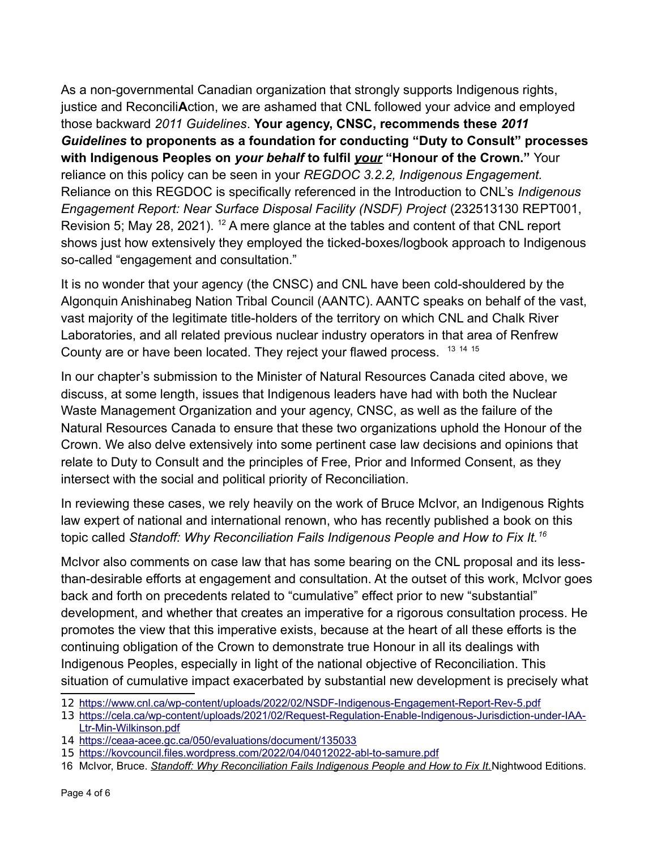As a non-governmental Canadian organization that strongly supports Indigenous rights, justice and Reconcili**A**ction, we are ashamed that CNL followed your advice and employed those backward *2011 Guidelines*. **Your agency, CNSC, recommends these** *2011 Guidelines* **to proponents as a foundation for conducting "Duty to Consult" processes with Indigenous Peoples on** *your behalf* **to fulfil** *your* **"Honour of the Crown."** Your reliance on this policy can be seen in your *REGDOC 3.2.2, Indigenous Engagement.*  Reliance on this REGDOC is specifically referenced in the Introduction to CNL's *Indigenous Engagement Report: Near Surface Disposal Facility (NSDF) Project* (232513130 REPT001, Revision 5; May 28, 2021). <sup>[12](#page-4-0)</sup> A mere glance at the tables and content of that CNL report shows just how extensively they employed the ticked-boxes/logbook approach to Indigenous so-called "engagement and consultation."

It is no wonder that your agency (the CNSC) and CNL have been cold-shouldered by the Algonquin Anishinabeg Nation Tribal Council (AANTC). AANTC speaks on behalf of the vast, vast majority of the legitimate title-holders of the territory on which CNL and Chalk River Laboratories, and all related previous nuclear industry operators in that area of Renfrew County are or have been located. They reject your flawed process. <sup>[13](#page-4-1) [14](#page-4-2) [15](#page-4-3)</sup>

In our chapter's submission to the Minister of Natural Resources Canada cited above, we discuss, at some length, issues that Indigenous leaders have had with both the Nuclear Waste Management Organization and your agency, CNSC, as well as the failure of the Natural Resources Canada to ensure that these two organizations uphold the Honour of the Crown. We also delve extensively into some pertinent case law decisions and opinions that relate to Duty to Consult and the principles of Free, Prior and Informed Consent, as they intersect with the social and political priority of Reconciliation.

In reviewing these cases, we rely heavily on the work of Bruce McIvor, an Indigenous Rights law expert of national and international renown, who has recently published a book on this topic called *Standoff: Why Reconciliation Fails Indigenous People and How to Fix It.[16](#page-4-4)*

McIvor also comments on case law that has some bearing on the CNL proposal and its lessthan-desirable efforts at engagement and consultation. At the outset of this work, McIvor goes back and forth on precedents related to "cumulative" effect prior to new "substantial" development, and whether that creates an imperative for a rigorous consultation process. He promotes the view that this imperative exists, because at the heart of all these efforts is the continuing obligation of the Crown to demonstrate true Honour in all its dealings with Indigenous Peoples, especially in light of the national objective of Reconciliation. This situation of cumulative impact exacerbated by substantial new development is precisely what

<span id="page-4-0"></span><sup>12</sup> <https://www.cnl.ca/wp-content/uploads/2022/02/NSDF-Indigenous-Engagement-Report-Rev-5.pdf>

<span id="page-4-1"></span><sup>13</sup> [https://cela.ca/wp-content/uploads/2021/02/Request-Regulation-Enable-Indigenous-Jurisdiction-under-IAA-](https://cela.ca/wp-content/uploads/2021/02/Request-Regulation-Enable-Indigenous-Jurisdiction-under-IAA-Ltr-Min-Wilkinson.pdf)[Ltr-Min-Wilkinson.pdf](https://cela.ca/wp-content/uploads/2021/02/Request-Regulation-Enable-Indigenous-Jurisdiction-under-IAA-Ltr-Min-Wilkinson.pdf)

<span id="page-4-2"></span><sup>14</sup> <https://ceaa-acee.gc.ca/050/evaluations/document/135033>

<span id="page-4-3"></span><sup>15</sup> <https://kovcouncil.files.wordpress.com/2022/04/04012022-abl-to-samure.pdf>

<span id="page-4-4"></span><sup>16</sup> McIvor, Bruce. *Standoff: Why Reconciliation Fails Indigenous People and How to Fix It.*Nightwood Editions.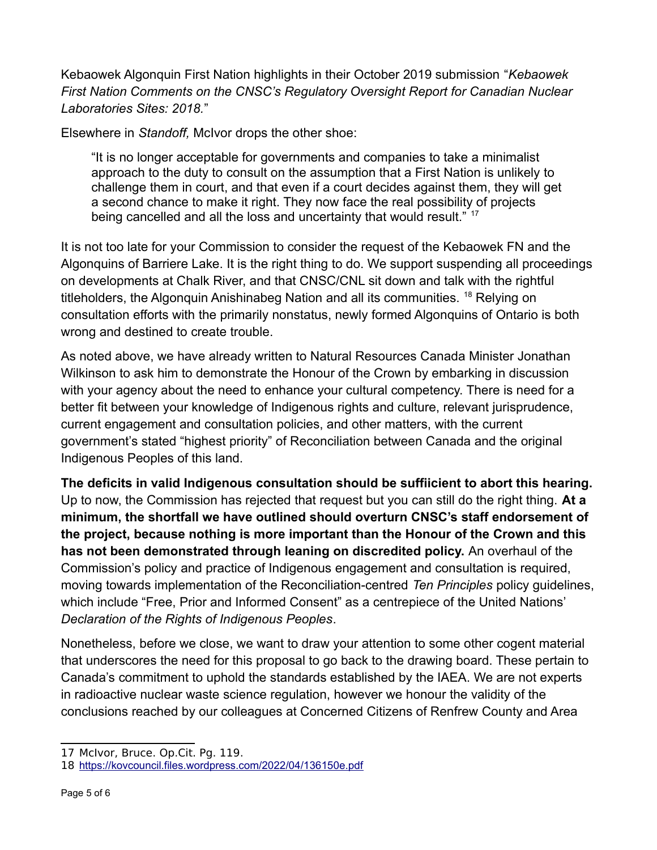Kebaowek Algonquin First Nation highlights in their October 2019 submission "*Kebaowek First Nation Comments on the CNSC's Regulatory Oversight Report for Canadian Nuclear Laboratories Sites: 2018.*"

Elsewhere in *Standoff,* McIvor drops the other shoe:

"It is no longer acceptable for governments and companies to take a minimalist approach to the duty to consult on the assumption that a First Nation is unlikely to challenge them in court, and that even if a court decides against them, they will get a second chance to make it right. They now face the real possibility of projects being cancelled and all the loss and uncertainty that would result." <sup>[17](#page-5-0)</sup>

It is not too late for your Commission to consider the request of the Kebaowek FN and the Algonquins of Barriere Lake. It is the right thing to do. We support suspending all proceedings on developments at Chalk River, and that CNSC/CNL sit down and talk with the rightful titleholders, the Algonquin Anishinabeg Nation and all its communities. <sup>[18](#page-5-1)</sup> Relying on consultation efforts with the primarily nonstatus, newly formed Algonquins of Ontario is both wrong and destined to create trouble.

As noted above, we have already written to Natural Resources Canada Minister Jonathan Wilkinson to ask him to demonstrate the Honour of the Crown by embarking in discussion with your agency about the need to enhance your cultural competency. There is need for a better fit between your knowledge of Indigenous rights and culture, relevant jurisprudence, current engagement and consultation policies, and other matters, with the current government's stated "highest priority" of Reconciliation between Canada and the original Indigenous Peoples of this land.

**The deficits in valid Indigenous consultation should be suffiicient to abort this hearing.** Up to now, the Commission has rejected that request but you can still do the right thing. **At a minimum, the shortfall we have outlined should overturn CNSC's staff endorsement of the project, because nothing is more important than the Honour of the Crown and this has not been demonstrated through leaning on discredited policy.** An overhaul of the Commission's policy and practice of Indigenous engagement and consultation is required, moving towards implementation of the Reconciliation-centred *Ten Principles* policy guidelines, which include "Free, Prior and Informed Consent" as a centrepiece of the United Nations' *Declaration of the Rights of Indigenous Peoples*.

Nonetheless, before we close, we want to draw your attention to some other cogent material that underscores the need for this proposal to go back to the drawing board. These pertain to Canada's commitment to uphold the standards established by the IAEA. We are not experts in radioactive nuclear waste science regulation, however we honour the validity of the conclusions reached by our colleagues at Concerned Citizens of Renfrew County and Area

<span id="page-5-0"></span><sup>17</sup> McIvor, Bruce. Op.Cit. Pg. 119.

<span id="page-5-1"></span><sup>18</sup> <https://kovcouncil.files.wordpress.com/2022/04/136150e.pdf>